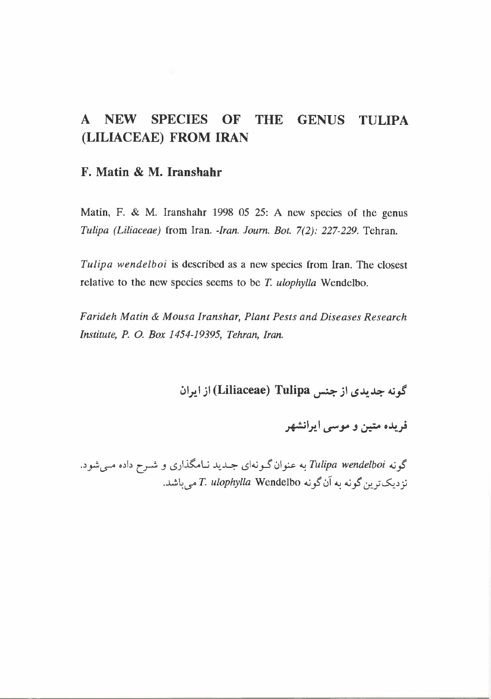## **A NEW SPECIES OF THE GENUS TULIPA (LILIACEAE) FROM IRAN**

#### F. **Matin & M.** Iranshahr

Matin, F. & M. Iranshahr 1998 05 25: A new species of the genus *Tulipa (Liliaceae)* from Iran. *-Iran. Journ. Bot.* 7(2): 227-229. Tehran.

*Tulipa wendelboi* is described as a new species from Iran. The closest relative to the new species seems to be *T. ulophylla* Wendelbo.

*Farideh Matin* & *Mousa Iranshar, Plant Pests and Diseases Research Institute, P.* 0. *Box* 1454-19395, *Tehran, Iran.*

~I~I;I **(Liliaceae) Tulipa** ~;I *LS~~ 4:J~*

فریده متین و موسی ایرانشهر

گونه *Tulipa wendelboi به عنوان گـونهای جـدید نـامگذاری و شـرح داده مـی.شو*د. نز دیکترین گونه به آن گونه Wendelbo *آمی باشد.*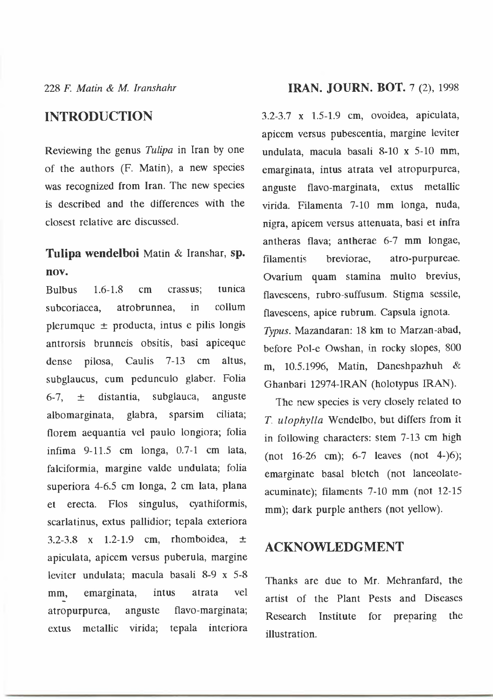228 *F. Malin* & *M lranshahr*

#### **INTRODUCTION**

Reviewing the genus *Tulipa* in Iran by one of the authors (F. Matin), a new species was recognized from Iran. The new species is described and the differences with the closest relative are discussed.

### **Tulipa wendelboi** Matin & Iranshar, sp, **nov.**

Bulbus 1.6-1.8 em crassus; tunica subcoriacea, atrobrunnea, in collum plerumque  $\pm$  producta, intus e pilis longis antrorsis brunneis obsitis, basi apiceque dense pilosa, Caulis 7-13 em altus, subglaucus, cum pedunculo glaber. Folia 6-7,  $\pm$  distantia, subglauca, anguste albomarginata, glabra, sparsim ciliata; florem aequantia vel paulo longiora; folia infima 9-11.5 em longa, 0.7-1 cm lata, falciformia, margine valde undulata; folia superiora 4-6.5 em longa, 2 em lata, plana et erecta. Flos singulus, cyathiformis, scarlatinus, extus pallidior; tepala exteriora 3.2-3.8 x 1.2-1.9 cm, rhomboidea,  $\pm$ apiculata, apicem versus puberula, margine leviter undulata; macula basali 8-9 x 5-8 mm, emarginata, intus atrata vel atropurpurea, anguste flavo-marginata; extus metallic virida; tepala interiora

#### **IRAN. JOURN. BOT.** 7 (2), 1998

3.2-3.7 x 1.5-1.9 cm, ovoidea, apiculata, apicem versus pubescentia, margine leviter undulata, macula basali 8-10 x 5-10 mm, emarginata, intus atrata vel atropurpurea, anguste flavo-marginata, extus metallic virida. Filamenta 7-10 mm longa, nuda, nigra, apicem versus attenuata, basi et infra antheras flava; antherae 6-7 mm longae, filamentis breviorae, atro-purpureae. Ovarium quam stamina multo brevius, flavescens, rubro-suffusum. Stigma sessile, flavescens, apice rubrum. Capsula ignota. *Typus.* Mazandaran: 18 km to Marzan-abad, before Pol-e Owshan, in rocky slopes, 800 m, 10.5.1996, Matin, Daneshpazhuh & Ghanbari 12974-IRAN (holotypus IRAN).

The new species is very closely related to *T. ulophylla* Wendclbo, but differs from it in following characters: stem 7-13 em high (not 16-26 em); 6-7 leaves (not 4-)6); emarginate basal blotch (not lanceolateacuminate); filaments 7-10 mm (not 12-15 mm); dark purple anthers (not yellow).

### **ACKNOWLEDGMENT**

Thanks are due to Mr. Mehranfard, the artist of the Plant Pests and Diseases Research Institute for preparing the illustration.